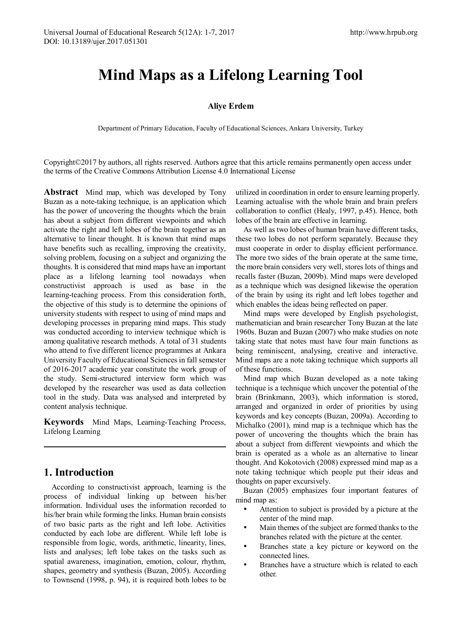# **Mind Maps as a Lifelong Learning Tool**

#### **Aliye Erdem**

Department of Primary Education, Faculty of [Educational Sciences, Ankar](mailto:aliye.erdem@ankara.edu.tr)a University, Turkey

Copyright©2017 by authors, all rights reserved. Authors agree that this article remains permanently open access under the terms of the Creative Commons Attribution License 4.0 International License

**Abstract** Mind map, which was developed by Tony Buzan as a note-taking technique, is an application which has the power of uncovering the thoughts which the brain has about a subject from different viewpoints and which activate the right and left lobes of the brain together as an alternative to linear thought. It is known that mind maps have benefits such as recalling, improving the creativity, solving problem, focusing on a subject and organizing the thoughts. It is considered that mind maps have an important place as a lifelong learning tool nowadays when constructivist approach is used as base in the learning-teaching process. From this consideration forth, the objective of this study is to determine the opinions of university students with respect to using of mind maps and developing processes in preparing mind maps. This study was conducted according to interview technique which is among qualitative research methods. A total of 31 students who attend to five different licence programmes at Ankara University Faculty of Educational Sciences in fall semester of 2016-2017 academic year constitute the work group of the study. Semi-structured interview form which was developed by the researcher was used as data collection tool in the study. Data was analysed and interpreted by content analysis technique.

**Keywords** Mind Maps, Learning-Teaching Process, Lifelong Learning

# **1. Introduction**

According to constructivist approach, learning is the process of individual linking up between his/her information. Individual uses the information recorded to his/her brain while forming the links. Human brain consists of two basic parts as the right and left lobe. Activities conducted by each lobe are different. While left lobe is responsible from logic, words, arithmetic, linearity, lines, lists and analyses; left lobe takes on the tasks such as spatial awareness, imagination, emotion, colour, rhythm, shapes, geometry and synthesis (Buzan, 2005). According to Townsend (1998, p. 94), it is required both lobes to be utilized in coordination in order to ensure learning properly. Learning actualise with the whole brain and brain prefers collaboration to conflict (Healy, 1997, p.45). Hence, both lobes of the brain are effective in learning.

As well as two lobes of human brain have different tasks, these two lobes do not perform separately. Because they must cooperate in order to display efficient performance. The more two sides of the brain operate at the same time, the more brain considers very well, stores lots of things and recalls faster (Buzan, 2009b). Mind maps were developed as a technique which was designed likewise the operation of the brain by using its right and left lobes together and which enables the ideas being reflected on paper.

Mind maps were developed by English psychologist, mathematician and brain researcher Tony Buzan at the late 1960s. Buzan and Buzan (2007) who make studies on note taking state that notes must have four main functions as being reminiscent, analysing, creative and interactive. Mind maps are a note taking technique which supports all of these functions.

Mind map which Buzan developed as a note taking technique is a technique which uncover the potential of the brain (Brinkmann, 2003), which information is stored, arranged and organized in order of priorities by using keywords and key concepts (Buzan, 2009a). According to Michalko (2001), mind map is a technique which has the power of uncovering the thoughts which the brain has about a subject from different viewpoints and which the brain is operated as a whole as an alternative to linear thought. And Kokotovich (2008) expressed mind map as a note taking technique which people put their ideas and thoughts on paper excursively.

Buzan (2005) emphasizes four important features of mind map as:

- Attention to subject is provided by a picture at the center of the mind map.
- Main themes of the subject are formed thanks to the branches related with the picture at the center.
- Branches state a key picture or keyword on the connected lines.
- Branches have a structure which is related to each other.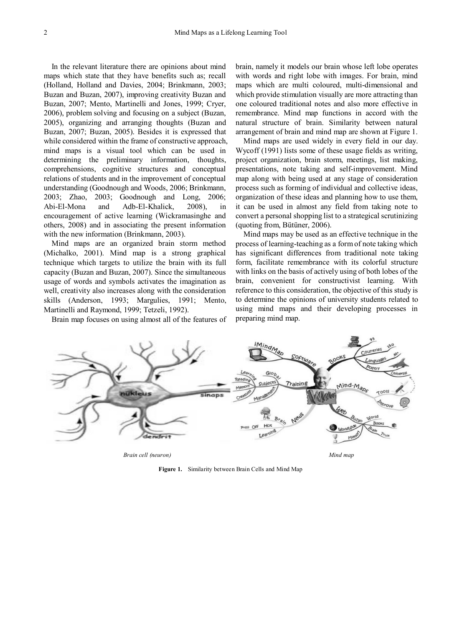In the relevant literature there are opinions about mind maps which state that they have benefits such as; recall (Holland, Holland and Davies, 2004; Brinkmann, 2003; Buzan and Buzan, 2007), improving creativity Buzan and Buzan, 2007; Mento, Martinelli and Jones, 1999; Cryer, 2006), problem solving and focusing on a subject (Buzan, 2005), organizing and arranging thoughts (Buzan and Buzan, 2007; Buzan, 2005). Besides it is expressed that while considered within the frame of constructive approach, mind maps is a visual tool which can be used in determining the preliminary information, thoughts, comprehensions, cognitive structures and conceptual relations of students and in the improvement of conceptual understanding (Goodnough and Woods, 2006; Brinkmann, 2003; Zhao, 2003; Goodnough and Long, 2006; Abi-El-Mona and Adb-El-Khalick, 2008), in encouragement of active learning (Wickramasinghe and others, 2008) and in associating the present information with the new information (Brinkmann, 2003).

Mind maps are an organized brain storm method (Michalko, 2001). Mind map is a strong graphical technique which targets to utilize the brain with its full capacity (Buzan and Buzan, 2007). Since the simultaneous usage of words and symbols activates the imagination as well, creativity also increases along with the consideration skills (Anderson, 1993; Margulies, 1991; Mento, Martinelli and Raymond, 1999; Tetzeli, 1992).

Brain map focuses on using almost all of the features of

brain, namely it models our brain whose left lobe operates with words and right lobe with images. For brain, mind maps which are multi coloured, multi-dimensional and which provide stimulation visually are more attracting than one coloured traditional notes and also more effective in remembrance. Mind map functions in accord with the natural structure of brain. Similarity between natural arrangement of brain and mind map are shown at Figure 1.

Mind maps are used widely in every field in our day. Wycoff (1991) lists some of these usage fields as writing, project organization, brain storm, meetings, list making, presentations, note taking and self-improvement. Mind map along with being used at any stage of consideration process such as forming of individual and collective ideas, organization of these ideas and planning how to use them, it can be used in almost any field from taking note to convert a personal shopping list to a strategical scrutinizing (quoting from, Bütüner, 2006).

Mind maps may be used as an effective technique in the process of learning-teaching as a form of note taking which has significant differences from traditional note taking form, facilitate remembrance with its colorful structure with links on the basis of actively using of both lobes of the brain, convenient for constructivist learning. With reference to this consideration, the objective of this study is to determine the opinions of university students related to using mind maps and their developing processes in preparing mind map.



**Figure 1.** Similarity between Brain Cells and Mind Map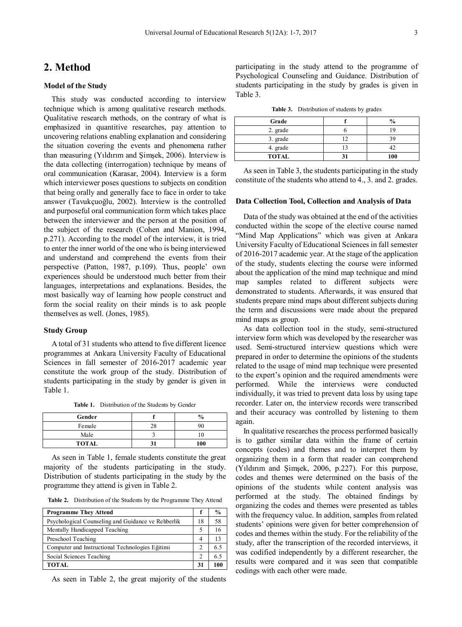### **2. Method**

#### **Model of the Study**

This study was conducted according to interview technique which is among qualitative research methods. Qualitative research methods, on the contrary of what is emphasized in quantitive researches, pay attention to uncovering relations enabling explanation and considering the situation covering the events and phenomena rather than measuring (Yıldırım and Şimşek, 2006). Interview is the data collecting (interrogation) technique by means of oral communication (Karasar, 2004). Interview is a form which interviewer poses questions to subjects on condition that being orally and generally face to face in order to take answer (Tavukçuoğlu, 2002). Interview is the controlled and purposeful oral communication form which takes place between the interviewer and the person at the position of the subject of the research (Cohen and Manion, 1994, p.271). According to the model of the interview, it is tried to enter the inner world of the one who is being interviewed and understand and comprehend the events from their perspective (Patton, 1987, p.109). Thus, people' own experiences should be understood much better from their languages, interpretations and explanations. Besides, the most basically way of learning how people construct and form the social reality on their minds is to ask people themselves as well. (Jones, 1985).

#### **Study Group**

A total of 31 students who attend to five different licence programmes at Ankara University Faculty of Educational Sciences in fall semester of 2016-2017 academic year constitute the work group of the study. Distribution of students participating in the study by gender is given in Table 1.

**Table 1.** Distribution of the Students by Gender

| Gender       |    | $\frac{0}{0}$ |
|--------------|----|---------------|
| Female       | 28 | 90            |
| Male         |    |               |
| <b>TOTAL</b> |    | 100           |

As seen in Table 1, female students constitute the great majority of the students participating in the study. Distribution of students participating in the study by the programme they attend is given in Table 2.

**Table 2.** Distribution of the Students by the Programme They Attend

| <b>Programme They Attend</b>                       |    | $\frac{6}{9}$ |
|----------------------------------------------------|----|---------------|
| Psychological Counseling and Guidance ve Rehberlik | 18 | 58            |
| Mentally Handicapped Teaching                      | 5  | 16            |
| Preschool Teaching                                 | 4  |               |
| Computer and Instructional Technologies Eğitimi    | 2  | 65            |
| Social Sciences Teaching                           | 2  | 6.5           |
| <b>TOTAL</b>                                       | 31 | 100           |

As seen in Table 2, the great majority of the students

participating in the study attend to the programme of Psychological Counseling and Guidance. Distribution of students participating in the study by grades is given in Table 3.

**Table 3.** Distribution of students by grades

| Grade        |    | $\frac{0}{0}$ |
|--------------|----|---------------|
| 2. grade     |    | 19            |
| 3. grade     | 12 | 39            |
| 4. grade     |    | 42            |
| <b>TOTAL</b> |    | 100           |

As seen in Table 3, the students participating in the study constitute of the students who attend to 4., 3. and 2. grades.

#### **Data Collection Tool, Collection and Analysis of Data**

Data of the study was obtained at the end of the activities conducted within the scope of the elective course named "Mind Map Applications" which was given at Ankara University Faculty of Educational Sciences in fall semester of 2016-2017 academic year. At the stage of the application of the study, students electing the course were informed about the application of the mind map technique and mind map samples related to different subjects were demonstrated to students. Afterwards, it was ensured that students prepare mind maps about different subjects during the term and discussions were made about the prepared mind maps as group.

As data collection tool in the study, semi-structured interview form which was developed by the researcher was used. Semi-structured interview questions which were prepared in order to determine the opinions of the students related to the usage of mind map technique were presented to the expert's opinion and the required amendments were performed. While the interviews were conducted individually, it was tried to prevent data loss by using tape recorder. Later on, the interview records were transcribed and their accuracy was controlled by listening to them again.

In qualitative researches the process performed basically is to gather similar data within the frame of certain concepts (codes) and themes and to interpret them by organizing them in a form that reader can comprehend (Yıldırım and Şimşek, 2006, p.227). For this purpose, codes and themes were determined on the basis of the opinions of the students while content analysis was performed at the study. The obtained findings by organizing the codes and themes were presented as tables with the frequency value. In addition, samples from related students' opinions were given for better comprehension of codes and themes within the study. For the reliability of the study, after the transcription of the recorded interviews, it was codified independently by a different researcher, the results were compared and it was seen that compatible codings with each other were made.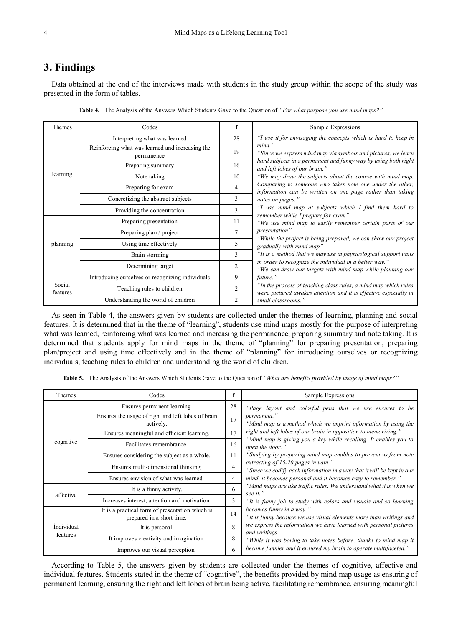## **3. Findings**

Data obtained at the end of the interviews made with students in the study group within the scope of the study was presented in the form of tables.

| Themes             | Codes                                                         | f              | Sample Expressions                                                                                                                  |  |  |
|--------------------|---------------------------------------------------------------|----------------|-------------------------------------------------------------------------------------------------------------------------------------|--|--|
| learning           | Interpreting what was learned                                 | 28             | "I use it for envisaging the concepts which is hard to keep in                                                                      |  |  |
|                    | Reinforcing what was learned and increasing the<br>permanence | 19             | mind."<br>"Since we express mind map via symbols and pictures, we learn                                                             |  |  |
|                    | Preparing summary                                             | 16             | hard subjects in a permanent and funny way by using both right<br>and left lobes of our brain."                                     |  |  |
|                    | Note taking                                                   | 10             | "We may draw the subjects about the course with mind map.                                                                           |  |  |
|                    | Preparing for exam                                            | $\overline{4}$ | Comparing to someone who takes note one under the other,<br>information can be written on one page rather than taking               |  |  |
|                    | Concretizing the abstract subjects                            | 3              | notes on pages."                                                                                                                    |  |  |
|                    | Providing the concentration                                   | 3              | "I use mind map at subjects which I find them hard to<br>remember while I prepare for exam"                                         |  |  |
|                    | Preparing presentation                                        | 11             | "We use mind map to easily remember certain parts of our                                                                            |  |  |
|                    | Preparing plan / project                                      | 7              | presentation"                                                                                                                       |  |  |
| planning           | Using time effectively                                        | 5              | "While the project is being prepared, we can show our project<br>gradually with mind map"                                           |  |  |
|                    | Brain storming                                                | $\mathbf{3}$   | "It is a method that we may use in physicological support units"                                                                    |  |  |
|                    | Determining target                                            | $\overline{2}$ | in order to recognize the individual in a better way."<br>"We can draw our targets with mind map while planning our                 |  |  |
|                    | Introducing ourselves or recognizing individuals              | 9              | future."                                                                                                                            |  |  |
| Social<br>features | Teaching rules to children                                    | 2              | "In the process of teaching class rules, a mind map which rules<br>were pictured awakes attention and it is effective especially in |  |  |
|                    | Understanding the world of children                           | $\overline{2}$ | small classrooms."                                                                                                                  |  |  |

**Table 4.** The Analysis of the Answers Which Students Gave to the Question of *"For what purpose you use mind maps?"*

As seen in Table 4, the answers given by students are collected under the themes of learning, planning and social features. It is determined that in the theme of "learning", students use mind maps mostly for the purpose of interpreting what was learned, reinforcing what was learned and increasing the permanence, preparing summary and note taking. It is determined that students apply for mind maps in the theme of "planning" for preparing presentation, preparing plan/project and using time effectively and in the theme of "planning" for introducing ourselves or recognizing individuals, teaching rules to children and understanding the world of children.

**Table 5.** The Analysis of the Answers Which Students Gave to the Question of *"What are benefits provided by usage of mind maps?"*

| Themes                        | Codes                                                                        | f  | Sample Expressions                                                                                            |  |  |
|-------------------------------|------------------------------------------------------------------------------|----|---------------------------------------------------------------------------------------------------------------|--|--|
| cognitive                     | Ensures permanent learning.                                                  | 28 | "Page layout and colorful pens that we use ensures to be                                                      |  |  |
|                               | Ensures the usage of right and left lobes of brain<br>actively.              | 17 | permanent."<br>"Mind map is a method which we imprint information by using the                                |  |  |
|                               | Ensures meaningful and efficient learning.                                   | 17 | right and left lobes of our brain in opposition to memorizing."                                               |  |  |
|                               | Facilitates remembrance.                                                     | 16 | "Mind map is giving you a key while recalling. It enables you to<br>open the door."                           |  |  |
|                               | Ensures considering the subject as a whole.                                  | 11 | "Studying by preparing mind map enables to prevent us from note                                               |  |  |
|                               | Ensures multi-dimensional thinking.                                          | 4  | extracting of 15-20 pages in vain."<br>"Since we codify each information in a way that it will be kept in our |  |  |
|                               | Ensures envision of what was learned.                                        | 4  | mind, it becomes personal and it becomes easy to remember."                                                   |  |  |
| affective                     | It is a funny activity.                                                      | 6  | "Mind maps are like traffic rules. We understand what it is when we<br>see it."                               |  |  |
|                               | Increases interest, attention and motivation.                                | 3  | "It is funny job to study with colors and visuals and so learning                                             |  |  |
| <i>Individual</i><br>features | It is a practical form of presentation which is<br>prepared in a short time. | 14 | becomes funny in a way."<br>"It is funny because we use visual elements more than writings and                |  |  |
|                               | It is personal.                                                              | 8  | we express the information we have learned with personal pictures<br>and writings                             |  |  |
|                               | It improves creativity and imagination.                                      | 8  | "While it was boring to take notes before, thanks to mind map it                                              |  |  |
|                               | Improves our visual perception.                                              | 6  | became funnier and it ensured my brain to operate multifaceted."                                              |  |  |

According to Table 5, the answers given by students are collected under the themes of cognitive, affective and individual features. Students stated in the theme of "cognitive", the benefits provided by mind map usage as ensuring of permanent learning, ensuring the right and left lobes of brain being active, facilitating remembrance, ensuring meaningful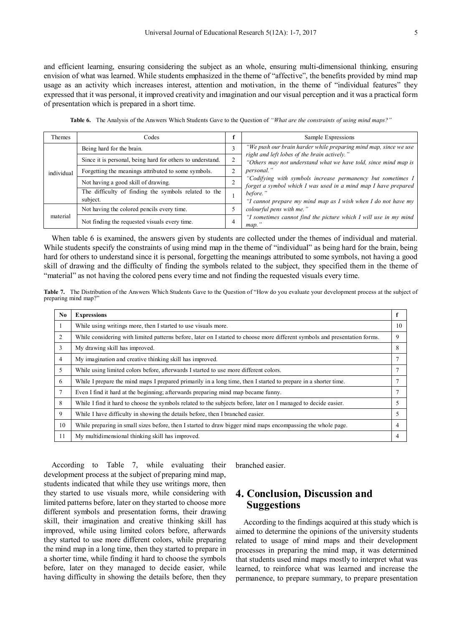and efficient learning, ensuring considering the subject as an whole, ensuring multi-dimensional thinking, ensuring envision of what was learned. While students emphasized in the theme of "affective", the benefits provided by mind map usage as an activity which increases interest, attention and motivation, in the theme of "individual features" they expressed that it was personal, it improved creativity and imagination and our visual perception and it was a practical form of presentation which is prepared in a short time.

|  |  | Table 6. The Analysis of the Answers Which Students Gave to the Question of "What are the constraints of using mind maps?" |  |  |  |
|--|--|----------------------------------------------------------------------------------------------------------------------------|--|--|--|
|--|--|----------------------------------------------------------------------------------------------------------------------------|--|--|--|

| Themes     | Codes                                                            | £             | Sample Expressions                                                                                                            |  |
|------------|------------------------------------------------------------------|---------------|-------------------------------------------------------------------------------------------------------------------------------|--|
| individual | Being hard for the brain.                                        | 3             | "We push our brain harder while preparing mind map, since we use                                                              |  |
|            | Since it is personal, being hard for others to understand.       | $\rightarrow$ | right and left lobes of the brain actively."<br>"Others may not understand what we have told, since mind map is               |  |
|            | Forgetting the meanings attributed to some symbols.              | ↑             | <i>personal.</i> "                                                                                                            |  |
|            | Not having a good skill of drawing.                              | <sup>1</sup>  | "Codifying with symbols increase permanency but sometimes I<br>forget a symbol which I was used in a mind map I have prepared |  |
|            | The difficulty of finding the symbols related to the<br>subject. |               | before."<br>"I cannot prepare my mind map as I wish when I do not have my                                                     |  |
| material   | Not having the colored pencils every time.                       |               | colourful pens with me."                                                                                                      |  |
|            | Not finding the requested visuals every time.                    | 4             | "I sometimes cannot find the picture which I will use in my mind<br>map.                                                      |  |

When table 6 is examined, the answers given by students are collected under the themes of individual and material. While students specify the constraints of using mind map in the theme of "individual" as being hard for the brain, being hard for others to understand since it is personal, forgetting the meanings attributed to some symbols, not having a good skill of drawing and the difficulty of finding the symbols related to the subject, they specified them in the theme of "material" as not having the colored pens every time and not finding the requested visuals every time.

**Table 7.** The Distribution of the Answers Which Students Gave to the Question of "How do you evaluate your development process at the subject of preparing mind map?"

| No. | <b>Expressions</b>                                                                                                          |    |
|-----|-----------------------------------------------------------------------------------------------------------------------------|----|
|     | While using writings more, then I started to use visuals more.                                                              | 10 |
| 2   | While considering with limited patterns before, later on I started to choose more different symbols and presentation forms. | 9  |
| 3   | My drawing skill has improved.                                                                                              | 8  |
| 4   | My imagination and creative thinking skill has improved.                                                                    |    |
| 5   | While using limited colors before, afterwards I started to use more different colors.                                       |    |
| 6   | While I prepare the mind maps I prepared primarily in a long time, then I started to prepare in a shorter time.             |    |
| 7   | Even I find it hard at the beginning; afterwards preparing mind map became funny.                                           |    |
| 8   | While I find it hard to choose the symbols related to the subjects before, later on I managed to decide easier.             | 5  |
| 9   | While I have difficulty in showing the details before, then I branched easier.                                              | 5  |
| 10  | While preparing in small sizes before, then I started to draw bigger mind maps encompassing the whole page.                 | 4  |
| 11  | My multidimensional thinking skill has improved.                                                                            | 4  |

According to Table 7, while evaluating their development process at the subject of preparing mind map, students indicated that while they use writings more, then they started to use visuals more, while considering with limited patterns before, later on they started to choose more different symbols and presentation forms, their drawing skill, their imagination and creative thinking skill has improved, while using limited colors before, afterwards they started to use more different colors, while preparing the mind map in a long time, then they started to prepare in a shorter time, while finding it hard to choose the symbols before, later on they managed to decide easier, while having difficulty in showing the details before, then they

branched easier.

### **4. Conclusion, Discussion and Suggestions**

According to the findings acquired at this study which is aimed to determine the opinions of the university students related to usage of mind maps and their development processes in preparing the mind map, it was determined that students used mind maps mostly to interpret what was learned, to reinforce what was learned and increase the permanence, to prepare summary, to prepare presentation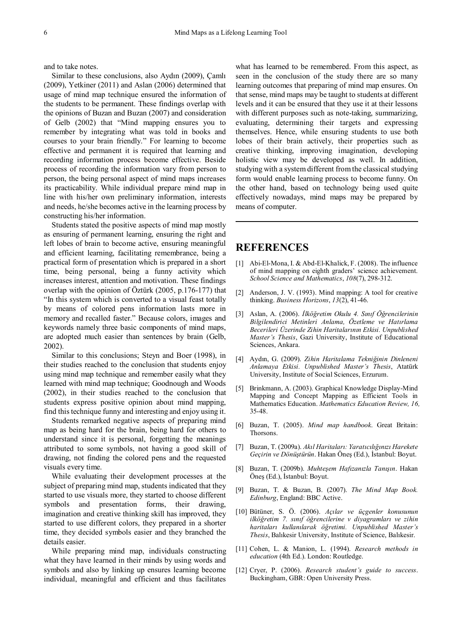and to take notes.

Similar to these conclusions, also Aydın (2009), Çamlı (2009), Yetkiner (2011) and Aslan (2006) determined that usage of mind map technique ensured the information of the students to be permanent. These findings overlap with the opinions of Buzan and Buzan (2007) and consideration of Gelb (2002) that "Mind mapping ensures you to remember by integrating what was told in books and courses to your brain friendly." For learning to become effective and permanent it is required that learning and recording information process become effective. Beside process of recording the information vary from person to person, the being personal aspect of mind maps increases its practicability. While individual prepare mind map in line with his/her own preliminary information, interests and needs, he/she becomes active in the learning process by constructing his/her information.

Students stated the positive aspects of mind map mostly as ensuring of permanent learning, ensuring the right and left lobes of brain to become active, ensuring meaningful and efficient learning, facilitating remembrance, being a practical form of presentation which is prepared in a short time, being personal, being a funny activity which increases interest, attention and motivation. These findings overlap with the opinion of Öztürk (2005, p.176-177) that "In this system which is converted to a visual feast totally by means of colored pens information lasts more in memory and recalled faster." Because colors, images and keywords namely three basic components of mind maps, are adopted much easier than sentences by brain (Gelb, 2002).

Similar to this conclusions; Steyn and Boer (1998), in their studies reached to the conclusion that students enjoy using mind map technique and remember easily what they learned with mind map technique; Goodnough and Woods (2002), in their studies reached to the conclusion that students express positive opinion about mind mapping, find this technique funny and interesting and enjoy using it.

Students remarked negative aspects of preparing mind map as being hard for the brain, being hard for others to understand since it is personal, forgetting the meanings attributed to some symbols, not having a good skill of drawing, not finding the colored pens and the requested visuals every time.

While evaluating their development processes at the subject of preparing mind map, students indicated that they started to use visuals more, they started to choose different symbols and presentation forms, their drawing, imagination and creative thinking skill has improved, they started to use different colors, they prepared in a shorter time, they decided symbols easier and they branched the details easier.

While preparing mind map, individuals constructing what they have learned in their minds by using words and symbols and also by linking up ensures learning become individual, meaningful and efficient and thus facilitates

what has learned to be remembered. From this aspect, as seen in the conclusion of the study there are so many learning outcomes that preparing of mind map ensures. On that sense, mind maps may be taught to students at different levels and it can be ensured that they use it at their lessons with different purposes such as note-taking, summarizing, evaluating, determining their targets and expressing themselves. Hence, while ensuring students to use both lobes of their brain actively, their properties such as creative thinking, improving imagination, developing holistic view may be developed as well. In addition, studying with a system different from the classical studying form would enable learning process to become funny. On the other hand, based on technology being used quite effectively nowadays, mind maps may be prepared by means of computer.

### **REFERENCES**

- [1] Abi-El-Mona, I. & Abd-El-Khalick, F. (2008). The influence of mind mapping on eighth graders' science achievement. *School Science and Mathematics*, *108*(7), 298-312.
- [2] Anderson, J. V. (1993). Mind mapping: A tool for creative thinking. *Business Horizons*, *13*(2), 41-46.
- [3] Aslan, A. (2006). *İlköğretim Okulu 4. Sınıf Öğrencilerinin Bilgilendirici Metinleri Anlama, Özetleme ve Hatırlama Becerileri Üzerinde Zihin Haritalarının Etkisi. Unpublished Master's Thesis*, Gazi University, Institute of Educational Sciences, Ankara.
- [4] Aydın, G. (2009). *Zihin Haritalama Tekniğinin Dinleneni Anlamaya Etkisi. Unpublished Master's Thesis*, Atatürk University, Institute of Social Sciences, Erzurum.
- [5] Brinkmann, A. (2003). Graphical Knowledge Display-Mind Mapping and Concept Mapping as Efficient Tools in Mathematics Education. *Mathematics Education Review, 16,* 35-48.
- [6] Buzan, T. (2005). *Mind map handbook*. Great Britain: Thorsons.
- [7] Buzan, T. (2009a). *Akıl Haritaları: Yaratıcılığınızı Harekete Geçirin ve Dönüştürün*. Hakan Öneş (Ed.), İstanbul: Boyut.
- [8] Buzan, T. (2009b). *Muhteşem Hafızanızla Tanışın*. Hakan Öneş (Ed.), İstanbul: Boyut.
- [9] Buzan, T. & Buzan, B. (2007). *The Mind Map Book. Edinburg*, England: BBC Active.
- [10] Bütüner, S. Ö. (2006). *Açılar ve üçgenler konusunun ilköğretim 7. sınıf öğrencilerine v diyagramları ve zihin haritaları kullanılarak öğretimi. Unpublished Master's Thesis*, Balıkesir University, Institute of Science, Balıkesir.
- [11] Cohen, L. & Manion, L. (1994). *Research methods in education* (4th Ed.). London: Routledge.
- [12] Cryer, P. (2006). *Research student's guide to success*. Buckingham, GBR: Open University Press.